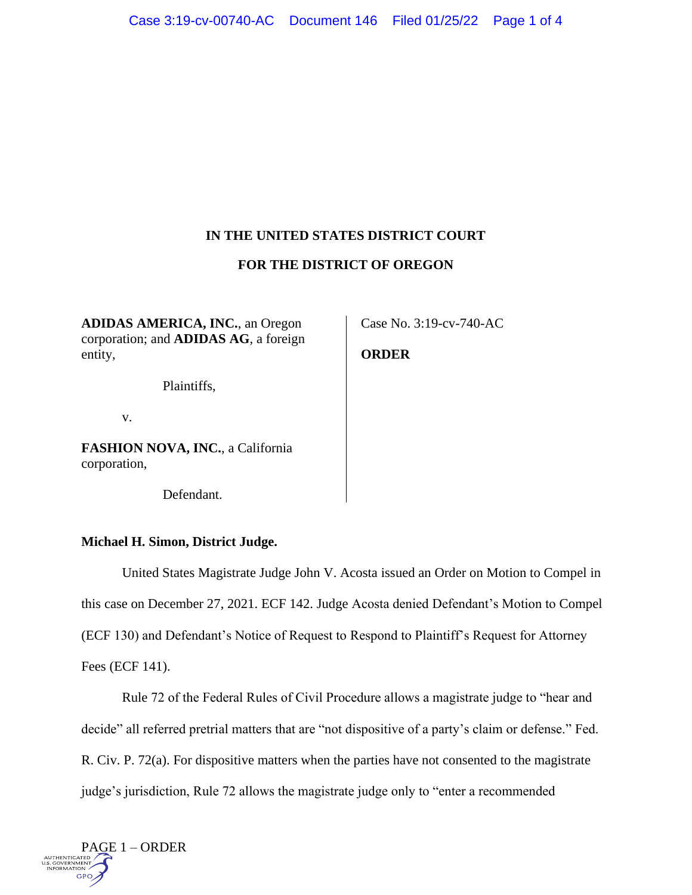# **IN THE UNITED STATES DISTRICT COURT**

### **FOR THE DISTRICT OF OREGON**

**ADIDAS AMERICA, INC.**, an Oregon corporation; and **ADIDAS AG**, a foreign entity,

Plaintiffs,

v.

**FASHION NOVA, INC.**, a California corporation,

Defendant.

### **Michael H. Simon, District Judge.**

United States Magistrate Judge John V. Acosta issued an Order on Motion to Compel in this case on December 27, 2021. ECF 142. Judge Acosta denied Defendant's Motion to Compel (ECF 130) and Defendant's Notice of Request to Respond to Plaintiff's Request for Attorney Fees (ECF 141).

Rule 72 of the Federal Rules of Civil Procedure allows a magistrate judge to "hear and decide" all referred pretrial matters that are "not dispositive of a party's claim or defense." Fed. R. Civ. P. 72(a). For dispositive matters when the parties have not consented to the magistrate judge's jurisdiction, Rule 72 allows the magistrate judge only to "enter a recommended



Case No. 3:19-cv-740-AC

## **ORDER**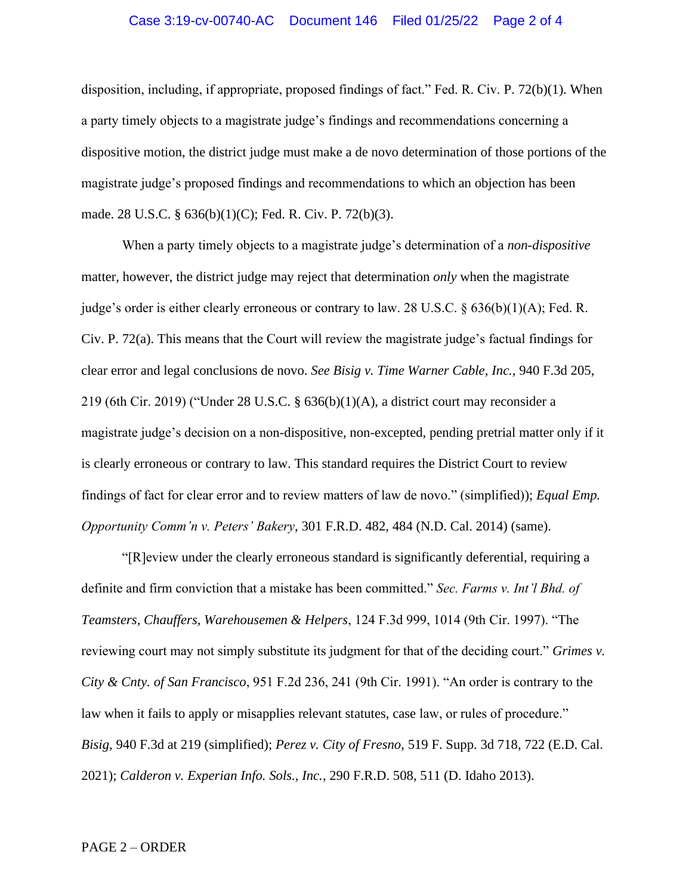#### Case 3:19-cv-00740-AC Document 146 Filed 01/25/22 Page 2 of 4

disposition, including, if appropriate, proposed findings of fact." Fed. R. Civ. P. 72(b)(1). When a party timely objects to a magistrate judge's findings and recommendations concerning a dispositive motion, the district judge must make a de novo determination of those portions of the magistrate judge's proposed findings and recommendations to which an objection has been made. 28 U.S.C. § 636(b)(1)(C); Fed. R. Civ. P. 72(b)(3).

When a party timely objects to a magistrate judge's determination of a *non-dispositive* matter, however, the district judge may reject that determination *only* when the magistrate judge's order is either clearly erroneous or contrary to law. 28 U.S.C.  $\S 636(b)(1)(A)$ ; Fed. R. Civ. P. 72(a). This means that the Court will review the magistrate judge's factual findings for clear error and legal conclusions de novo. *See Bisig v. Time Warner Cable, Inc.*, 940 F.3d 205, 219 (6th Cir. 2019) ("Under 28 U.S.C. § 636(b)(1)(A), a district court may reconsider a magistrate judge's decision on a non-dispositive, non-excepted, pending pretrial matter only if it is clearly erroneous or contrary to law. This standard requires the District Court to review findings of fact for clear error and to review matters of law de novo." (simplified)); *Equal Emp. Opportunity Comm'n v. Peters' Bakery*, 301 F.R.D. 482, 484 (N.D. Cal. 2014) (same).

"[R]eview under the clearly erroneous standard is significantly deferential, requiring a definite and firm conviction that a mistake has been committed." *Sec. Farms v. Int'l Bhd. of Teamsters, Chauffers, Warehousemen & Helpers*, 124 F.3d 999, 1014 (9th Cir. 1997). "The reviewing court may not simply substitute its judgment for that of the deciding court." *Grimes v. City & Cnty. of San Francisco*, 951 F.2d 236, 241 (9th Cir. 1991). "An order is contrary to the law when it fails to apply or misapplies relevant statutes, case law, or rules of procedure." *Bisig*, 940 F.3d at 219 (simplified); *Perez v. City of Fresno*, 519 F. Supp. 3d 718, 722 (E.D. Cal. 2021); *Calderon v. Experian Info. Sols., Inc.*, 290 F.R.D. 508, 511 (D. Idaho 2013).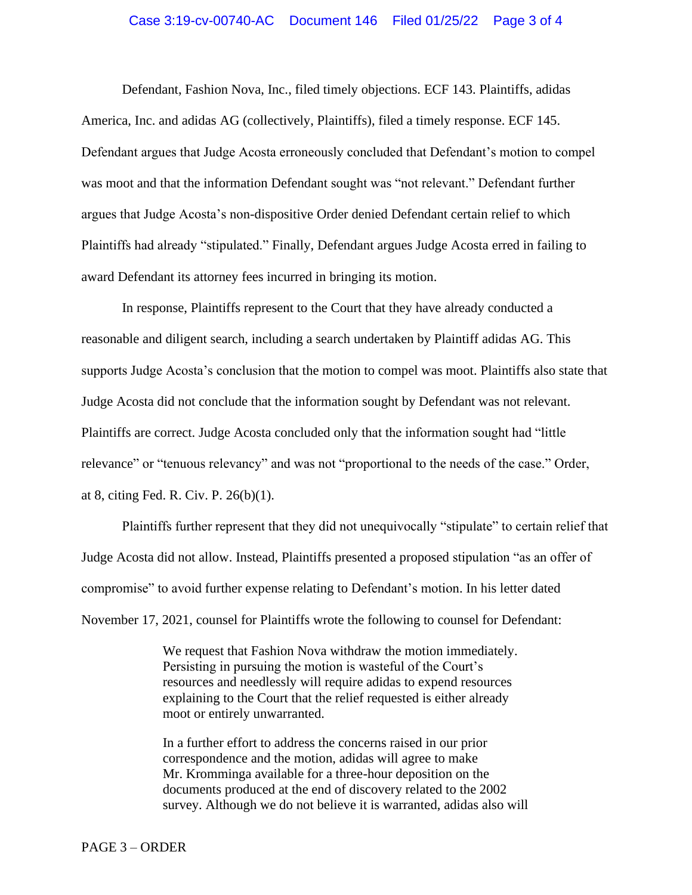#### Case 3:19-cv-00740-AC Document 146 Filed 01/25/22 Page 3 of 4

Defendant, Fashion Nova, Inc., filed timely objections. ECF 143. Plaintiffs, adidas America, Inc. and adidas AG (collectively, Plaintiffs), filed a timely response. ECF 145. Defendant argues that Judge Acosta erroneously concluded that Defendant's motion to compel was moot and that the information Defendant sought was "not relevant." Defendant further argues that Judge Acosta's non-dispositive Order denied Defendant certain relief to which Plaintiffs had already "stipulated." Finally, Defendant argues Judge Acosta erred in failing to award Defendant its attorney fees incurred in bringing its motion.

In response, Plaintiffs represent to the Court that they have already conducted a reasonable and diligent search, including a search undertaken by Plaintiff adidas AG. This supports Judge Acosta's conclusion that the motion to compel was moot. Plaintiffs also state that Judge Acosta did not conclude that the information sought by Defendant was not relevant. Plaintiffs are correct. Judge Acosta concluded only that the information sought had "little relevance" or "tenuous relevancy" and was not "proportional to the needs of the case." Order, at 8, citing Fed. R. Civ. P. 26(b)(1).

Plaintiffs further represent that they did not unequivocally "stipulate" to certain relief that Judge Acosta did not allow. Instead, Plaintiffs presented a proposed stipulation "as an offer of compromise" to avoid further expense relating to Defendant's motion. In his letter dated November 17, 2021, counsel for Plaintiffs wrote the following to counsel for Defendant:

> We request that Fashion Nova withdraw the motion immediately. Persisting in pursuing the motion is wasteful of the Court's resources and needlessly will require adidas to expend resources explaining to the Court that the relief requested is either already moot or entirely unwarranted.

In a further effort to address the concerns raised in our prior correspondence and the motion, adidas will agree to make Mr. Kromminga available for a three-hour deposition on the documents produced at the end of discovery related to the 2002 survey. Although we do not believe it is warranted, adidas also will